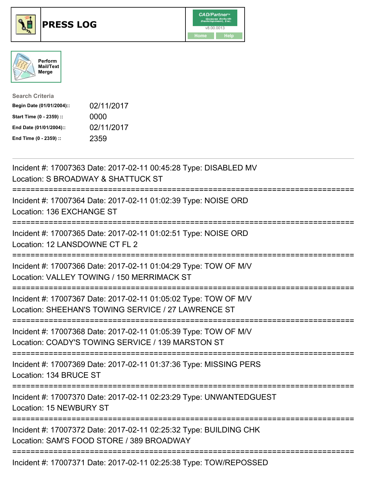





| <b>Search Criteria</b>    |            |
|---------------------------|------------|
| Begin Date (01/01/2004):: | 02/11/2017 |
| Start Time (0 - 2359) ::  | 0000       |
| End Date (01/01/2004)::   | 02/11/2017 |
| End Time (0 - 2359) ::    | 2359       |

| Incident #: 17007363 Date: 2017-02-11 00:45:28 Type: DISABLED MV<br>Location: S BROADWAY & SHATTUCK ST                                                    |
|-----------------------------------------------------------------------------------------------------------------------------------------------------------|
| Incident #: 17007364 Date: 2017-02-11 01:02:39 Type: NOISE ORD<br>Location: 136 EXCHANGE ST                                                               |
| Incident #: 17007365 Date: 2017-02-11 01:02:51 Type: NOISE ORD<br>Location: 12 LANSDOWNE CT FL 2                                                          |
| Incident #: 17007366 Date: 2017-02-11 01:04:29 Type: TOW OF M/V<br>Location: VALLEY TOWING / 150 MERRIMACK ST                                             |
| Incident #: 17007367 Date: 2017-02-11 01:05:02 Type: TOW OF M/V<br>Location: SHEEHAN'S TOWING SERVICE / 27 LAWRENCE ST<br>--------------------            |
| Incident #: 17007368 Date: 2017-02-11 01:05:39 Type: TOW OF M/V<br>Location: COADY'S TOWING SERVICE / 139 MARSTON ST<br>:================================ |
| Incident #: 17007369 Date: 2017-02-11 01:37:36 Type: MISSING PERS<br>Location: 134 BRUCE ST                                                               |
| ===================<br>Incident #: 17007370 Date: 2017-02-11 02:23:29 Type: UNWANTEDGUEST<br><b>Location: 15 NEWBURY ST</b>                               |
| ===================<br>Incident #: 17007372 Date: 2017-02-11 02:25:32 Type: BUILDING CHK<br>Location: SAM'S FOOD STORE / 389 BROADWAY                     |
| :====================================<br>Incident #: 17007371 Date: 2017-02-11 02:25:38 Type: TOW/REPOSSED                                                |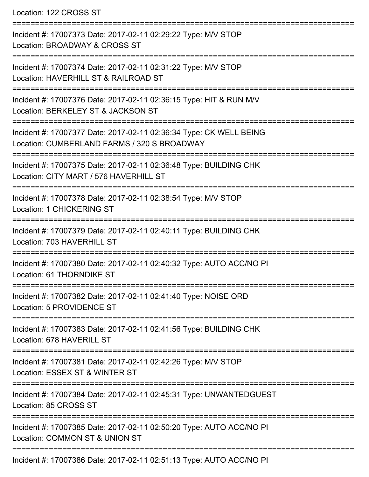Location: 122 CROSS ST

=========================================================================== Incident #: 17007373 Date: 2017-02-11 02:29:22 Type: M/V STOP Location: BROADWAY & CROSS ST =========================================================================== Incident #: 17007374 Date: 2017-02-11 02:31:22 Type: M/V STOP Location: HAVERHILL ST & RAILROAD ST =========================================================================== Incident #: 17007376 Date: 2017-02-11 02:36:15 Type: HIT & RUN M/V Location: BERKELEY ST & JACKSON ST =========================================================================== Incident #: 17007377 Date: 2017-02-11 02:36:34 Type: CK WELL BEING Location: CUMBERLAND FARMS / 320 S BROADWAY =========================================================================== Incident #: 17007375 Date: 2017-02-11 02:36:48 Type: BUILDING CHK Location: CITY MART / 576 HAVERHILL ST =========================================================================== Incident #: 17007378 Date: 2017-02-11 02:38:54 Type: M/V STOP Location: 1 CHICKERING ST =========================================================================== Incident #: 17007379 Date: 2017-02-11 02:40:11 Type: BUILDING CHK Location: 703 HAVERHILL ST =========================================================================== Incident #: 17007380 Date: 2017-02-11 02:40:32 Type: AUTO ACC/NO PI Location: 61 THORNDIKE ST =========================================================================== Incident #: 17007382 Date: 2017-02-11 02:41:40 Type: NOISE ORD Location: 5 PROVIDENCE ST =========================================================================== Incident #: 17007383 Date: 2017-02-11 02:41:56 Type: BUILDING CHK Location: 678 HAVERILL ST =========================================================================== Incident #: 17007381 Date: 2017-02-11 02:42:26 Type: M/V STOP Location: ESSEX ST & WINTER ST =========================================================================== Incident #: 17007384 Date: 2017-02-11 02:45:31 Type: UNWANTEDGUEST Location: 85 CROSS ST =========================================================================== Incident #: 17007385 Date: 2017-02-11 02:50:20 Type: AUTO ACC/NO PI Location: COMMON ST & UNION ST =========================================================================== Incident #: 17007386 Date: 2017-02-11 02:51:13 Type: AUTO ACC/NO PI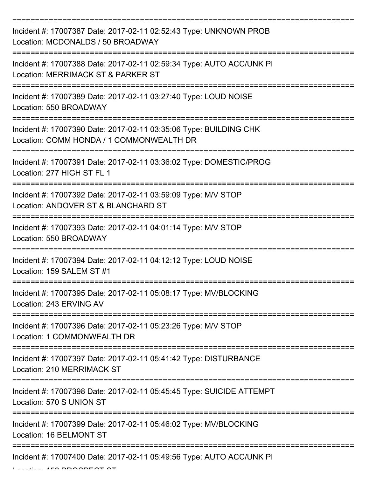| Incident #: 17007387 Date: 2017-02-11 02:52:43 Type: UNKNOWN PROB<br>Location: MCDONALDS / 50 BROADWAY        |
|---------------------------------------------------------------------------------------------------------------|
| Incident #: 17007388 Date: 2017-02-11 02:59:34 Type: AUTO ACC/UNK PI<br>Location: MERRIMACK ST & PARKER ST    |
| Incident #: 17007389 Date: 2017-02-11 03:27:40 Type: LOUD NOISE<br>Location: 550 BROADWAY                     |
| Incident #: 17007390 Date: 2017-02-11 03:35:06 Type: BUILDING CHK<br>Location: COMM HONDA / 1 COMMONWEALTH DR |
| Incident #: 17007391 Date: 2017-02-11 03:36:02 Type: DOMESTIC/PROG<br>Location: 277 HIGH ST FL 1              |
| Incident #: 17007392 Date: 2017-02-11 03:59:09 Type: M/V STOP<br>Location: ANDOVER ST & BLANCHARD ST          |
| Incident #: 17007393 Date: 2017-02-11 04:01:14 Type: M/V STOP<br>Location: 550 BROADWAY                       |
| Incident #: 17007394 Date: 2017-02-11 04:12:12 Type: LOUD NOISE<br>Location: 159 SALEM ST #1                  |
| Incident #: 17007395 Date: 2017-02-11 05:08:17 Type: MV/BLOCKING<br>Location: 243 ERVING AV                   |
| Incident #: 17007396 Date: 2017-02-11 05:23:26 Type: M/V STOP<br>Location: 1 COMMONWEALTH DR                  |
| Incident #: 17007397 Date: 2017-02-11 05:41:42 Type: DISTURBANCE<br><b>Location: 210 MERRIMACK ST</b>         |
| Incident #: 17007398 Date: 2017-02-11 05:45:45 Type: SUICIDE ATTEMPT<br>Location: 570 S UNION ST              |
| Incident #: 17007399 Date: 2017-02-11 05:46:02 Type: MV/BLOCKING<br>Location: 16 BELMONT ST                   |
| Incident #: 17007400 Date: 2017-02-11 05:49:56 Type: AUTO ACC/UNK PI                                          |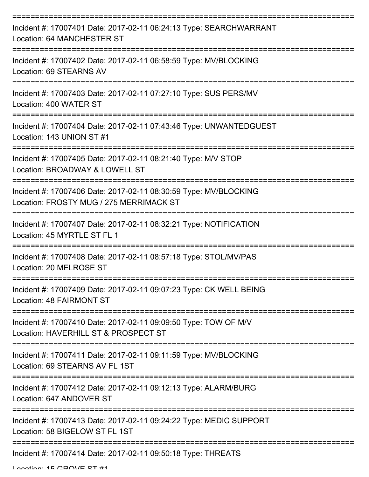| Incident #: 17007401 Date: 2017-02-11 06:24:13 Type: SEARCHWARRANT<br><b>Location: 64 MANCHESTER ST</b>                                       |
|-----------------------------------------------------------------------------------------------------------------------------------------------|
| Incident #: 17007402 Date: 2017-02-11 06:58:59 Type: MV/BLOCKING<br>Location: 69 STEARNS AV                                                   |
| Incident #: 17007403 Date: 2017-02-11 07:27:10 Type: SUS PERS/MV<br>Location: 400 WATER ST                                                    |
| Incident #: 17007404 Date: 2017-02-11 07:43:46 Type: UNWANTEDGUEST<br>Location: 143 UNION ST #1                                               |
| Incident #: 17007405 Date: 2017-02-11 08:21:40 Type: M/V STOP<br>Location: BROADWAY & LOWELL ST                                               |
| Incident #: 17007406 Date: 2017-02-11 08:30:59 Type: MV/BLOCKING<br>Location: FROSTY MUG / 275 MERRIMACK ST                                   |
| Incident #: 17007407 Date: 2017-02-11 08:32:21 Type: NOTIFICATION<br>Location: 45 MYRTLE ST FL 1                                              |
| Incident #: 17007408 Date: 2017-02-11 08:57:18 Type: STOL/MV/PAS<br>Location: 20 MELROSE ST                                                   |
| Incident #: 17007409 Date: 2017-02-11 09:07:23 Type: CK WELL BEING<br>Location: 48 FAIRMONT ST                                                |
| Incident #: 17007410 Date: 2017-02-11 09:09:50 Type: TOW OF M/V<br>Location: HAVERHILL ST & PROSPECT ST                                       |
| Incident #: 17007411 Date: 2017-02-11 09:11:59 Type: MV/BLOCKING<br>Location: 69 STEARNS AV FL 1ST                                            |
| Incident #: 17007412 Date: 2017-02-11 09:12:13 Type: ALARM/BURG<br>Location: 647 ANDOVER ST                                                   |
| Incident #: 17007413 Date: 2017-02-11 09:24:22 Type: MEDIC SUPPORT<br>Location: 58 BIGELOW ST FL 1ST<br>------------------------------------- |
| Incident #: 17007414 Date: 2017-02-11 09:50:18 Type: THREATS                                                                                  |

Location: 15 GROVE ST #1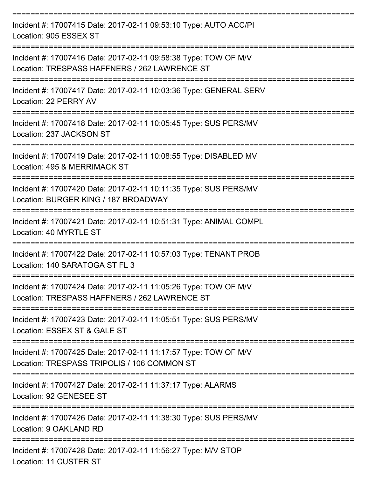| Incident #: 17007415 Date: 2017-02-11 09:53:10 Type: AUTO ACC/PI<br>Location: 905 ESSEX ST                       |
|------------------------------------------------------------------------------------------------------------------|
| Incident #: 17007416 Date: 2017-02-11 09:58:38 Type: TOW OF M/V<br>Location: TRESPASS HAFFNERS / 262 LAWRENCE ST |
| Incident #: 17007417 Date: 2017-02-11 10:03:36 Type: GENERAL SERV<br>Location: 22 PERRY AV                       |
| Incident #: 17007418 Date: 2017-02-11 10:05:45 Type: SUS PERS/MV<br>Location: 237 JACKSON ST                     |
| Incident #: 17007419 Date: 2017-02-11 10:08:55 Type: DISABLED MV<br>Location: 495 & MERRIMACK ST                 |
| Incident #: 17007420 Date: 2017-02-11 10:11:35 Type: SUS PERS/MV<br>Location: BURGER KING / 187 BROADWAY         |
| Incident #: 17007421 Date: 2017-02-11 10:51:31 Type: ANIMAL COMPL<br>Location: 40 MYRTLE ST                      |
| Incident #: 17007422 Date: 2017-02-11 10:57:03 Type: TENANT PROB<br>Location: 140 SARATOGA ST FL 3               |
| Incident #: 17007424 Date: 2017-02-11 11:05:26 Type: TOW OF M/V<br>Location: TRESPASS HAFFNERS / 262 LAWRENCE ST |
| Incident #: 17007423 Date: 2017-02-11 11:05:51 Type: SUS PERS/MV<br>Location: ESSEX ST & GALE ST                 |
| Incident #: 17007425 Date: 2017-02-11 11:17:57 Type: TOW OF M/V<br>Location: TRESPASS TRIPOLIS / 106 COMMON ST   |
| Incident #: 17007427 Date: 2017-02-11 11:37:17 Type: ALARMS<br>Location: 92 GENESEE ST                           |
| Incident #: 17007426 Date: 2017-02-11 11:38:30 Type: SUS PERS/MV<br>Location: 9 OAKLAND RD                       |
| Incident #: 17007428 Date: 2017-02-11 11:56:27 Type: M/V STOP<br>Location: 11 CUSTER ST                          |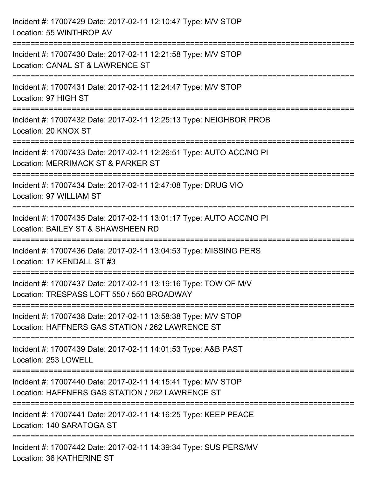| Incident #: 17007429 Date: 2017-02-11 12:10:47 Type: M/V STOP<br>Location: 55 WINTHROP AV                                     |
|-------------------------------------------------------------------------------------------------------------------------------|
| Incident #: 17007430 Date: 2017-02-11 12:21:58 Type: M/V STOP<br>Location: CANAL ST & LAWRENCE ST                             |
| Incident #: 17007431 Date: 2017-02-11 12:24:47 Type: M/V STOP<br>Location: 97 HIGH ST                                         |
| Incident #: 17007432 Date: 2017-02-11 12:25:13 Type: NEIGHBOR PROB<br>Location: 20 KNOX ST                                    |
| Incident #: 17007433 Date: 2017-02-11 12:26:51 Type: AUTO ACC/NO PI<br>Location: MERRIMACK ST & PARKER ST                     |
| Incident #: 17007434 Date: 2017-02-11 12:47:08 Type: DRUG VIO<br>Location: 97 WILLIAM ST                                      |
| Incident #: 17007435 Date: 2017-02-11 13:01:17 Type: AUTO ACC/NO PI<br>Location: BAILEY ST & SHAWSHEEN RD                     |
| Incident #: 17007436 Date: 2017-02-11 13:04:53 Type: MISSING PERS<br>Location: 17 KENDALL ST #3                               |
| Incident #: 17007437 Date: 2017-02-11 13:19:16 Type: TOW OF M/V<br>Location: TRESPASS LOFT 550 / 550 BROADWAY                 |
| Incident #: 17007438 Date: 2017-02-11 13:58:38 Type: M/V STOP<br>Location: HAFFNERS GAS STATION / 262 LAWRENCE ST             |
| ====================================<br>Incident #: 17007439 Date: 2017-02-11 14:01:53 Type: A&B PAST<br>Location: 253 LOWELL |
| Incident #: 17007440 Date: 2017-02-11 14:15:41 Type: M/V STOP<br>Location: HAFFNERS GAS STATION / 262 LAWRENCE ST             |
| Incident #: 17007441 Date: 2017-02-11 14:16:25 Type: KEEP PEACE<br>Location: 140 SARATOGA ST                                  |
| Incident #: 17007442 Date: 2017-02-11 14:39:34 Type: SUS PERS/MV<br>Location: 36 KATHERINE ST                                 |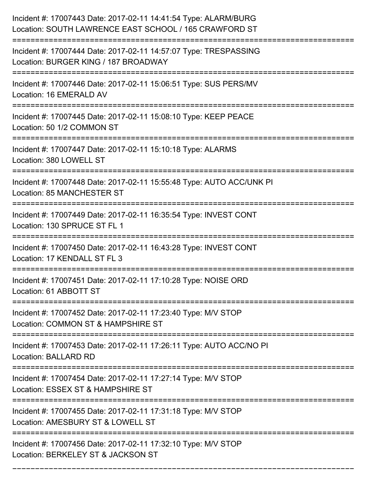| Incident #: 17007443 Date: 2017-02-11 14:41:54 Type: ALARM/BURG<br>Location: SOUTH LAWRENCE EAST SCHOOL / 165 CRAWFORD ST |
|---------------------------------------------------------------------------------------------------------------------------|
| Incident #: 17007444 Date: 2017-02-11 14:57:07 Type: TRESPASSING<br>Location: BURGER KING / 187 BROADWAY                  |
| Incident #: 17007446 Date: 2017-02-11 15:06:51 Type: SUS PERS/MV<br>Location: 16 EMERALD AV                               |
| Incident #: 17007445 Date: 2017-02-11 15:08:10 Type: KEEP PEACE<br>Location: 50 1/2 COMMON ST                             |
| Incident #: 17007447 Date: 2017-02-11 15:10:18 Type: ALARMS<br>Location: 380 LOWELL ST                                    |
| Incident #: 17007448 Date: 2017-02-11 15:55:48 Type: AUTO ACC/UNK PI<br>Location: 85 MANCHESTER ST                        |
| Incident #: 17007449 Date: 2017-02-11 16:35:54 Type: INVEST CONT<br>Location: 130 SPRUCE ST FL 1<br>==================    |
| Incident #: 17007450 Date: 2017-02-11 16:43:28 Type: INVEST CONT<br>Location: 17 KENDALL ST FL 3                          |
| Incident #: 17007451 Date: 2017-02-11 17:10:28 Type: NOISE ORD<br>Location: 61 ABBOTT ST                                  |
| Incident #: 17007452 Date: 2017-02-11 17:23:40 Type: M/V STOP<br>Location: COMMON ST & HAMPSHIRE ST                       |
| Incident #: 17007453 Date: 2017-02-11 17:26:11 Type: AUTO ACC/NO PI<br>Location: BALLARD RD                               |
| Incident #: 17007454 Date: 2017-02-11 17:27:14 Type: M/V STOP<br>Location: ESSEX ST & HAMPSHIRE ST                        |
| Incident #: 17007455 Date: 2017-02-11 17:31:18 Type: M/V STOP<br>Location: AMESBURY ST & LOWELL ST                        |
| Incident #: 17007456 Date: 2017-02-11 17:32:10 Type: M/V STOP<br>Location: BERKELEY ST & JACKSON ST                       |

===========================================================================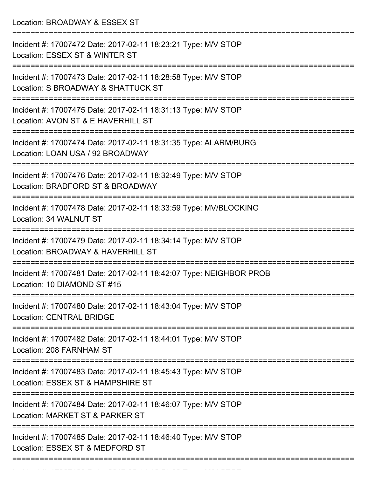Location: BROADWAY & ESSEX ST

| Incident #: 17007472 Date: 2017-02-11 18:23:21 Type: M/V STOP<br>Location: ESSEX ST & WINTER ST                      |
|----------------------------------------------------------------------------------------------------------------------|
| Incident #: 17007473 Date: 2017-02-11 18:28:58 Type: M/V STOP<br>Location: S BROADWAY & SHATTUCK ST                  |
| Incident #: 17007475 Date: 2017-02-11 18:31:13 Type: M/V STOP<br>Location: AVON ST & E HAVERHILL ST                  |
| Incident #: 17007474 Date: 2017-02-11 18:31:35 Type: ALARM/BURG<br>Location: LOAN USA / 92 BROADWAY                  |
| Incident #: 17007476 Date: 2017-02-11 18:32:49 Type: M/V STOP<br>Location: BRADFORD ST & BROADWAY                    |
| Incident #: 17007478 Date: 2017-02-11 18:33:59 Type: MV/BLOCKING<br>Location: 34 WALNUT ST                           |
| Incident #: 17007479 Date: 2017-02-11 18:34:14 Type: M/V STOP<br>Location: BROADWAY & HAVERHILL ST                   |
| Incident #: 17007481 Date: 2017-02-11 18:42:07 Type: NEIGHBOR PROB<br>Location: 10 DIAMOND ST #15                    |
| Incident #: 17007480 Date: 2017-02-11 18:43:04 Type: M/V STOP<br><b>Location: CENTRAL BRIDGE</b>                     |
| =======================<br>Incident #: 17007482 Date: 2017-02-11 18:44:01 Type: M/V STOP<br>Location: 208 FARNHAM ST |
| Incident #: 17007483 Date: 2017-02-11 18:45:43 Type: M/V STOP<br>Location: ESSEX ST & HAMPSHIRE ST                   |
| Incident #: 17007484 Date: 2017-02-11 18:46:07 Type: M/V STOP<br>Location: MARKET ST & PARKER ST                     |
| Incident #: 17007485 Date: 2017-02-11 18:46:40 Type: M/V STOP<br>Location: ESSEX ST & MEDFORD ST                     |
|                                                                                                                      |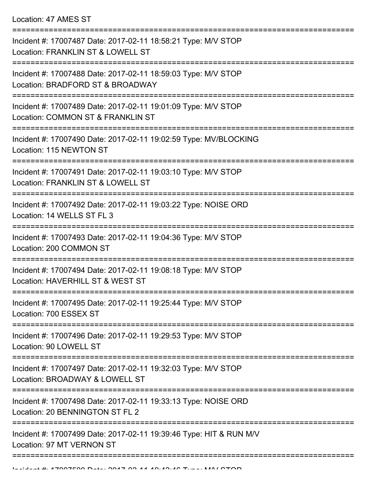Location: 47 AMES ST

| Incident #: 17007487 Date: 2017-02-11 18:58:21 Type: M/V STOP<br>Location: FRANKLIN ST & LOWELL ST |
|----------------------------------------------------------------------------------------------------|
| Incident #: 17007488 Date: 2017-02-11 18:59:03 Type: M/V STOP<br>Location: BRADFORD ST & BROADWAY  |
| Incident #: 17007489 Date: 2017-02-11 19:01:09 Type: M/V STOP<br>Location: COMMON ST & FRANKLIN ST |
| Incident #: 17007490 Date: 2017-02-11 19:02:59 Type: MV/BLOCKING<br>Location: 115 NEWTON ST        |
| Incident #: 17007491 Date: 2017-02-11 19:03:10 Type: M/V STOP<br>Location: FRANKLIN ST & LOWELL ST |
| Incident #: 17007492 Date: 2017-02-11 19:03:22 Type: NOISE ORD<br>Location: 14 WELLS ST FL 3       |
| Incident #: 17007493 Date: 2017-02-11 19:04:36 Type: M/V STOP<br>Location: 200 COMMON ST           |
| Incident #: 17007494 Date: 2017-02-11 19:08:18 Type: M/V STOP<br>Location: HAVERHILL ST & WEST ST  |
| Incident #: 17007495 Date: 2017-02-11 19:25:44 Type: M/V STOP<br>Location: 700 ESSEX ST            |
| Incident #: 17007496 Date: 2017-02-11 19:29:53 Type: M/V STOP<br>Location: 90 LOWELL ST            |
| Incident #: 17007497 Date: 2017-02-11 19:32:03 Type: M/V STOP<br>Location: BROADWAY & LOWELL ST    |
| Incident #: 17007498 Date: 2017-02-11 19:33:13 Type: NOISE ORD<br>Location: 20 BENNINGTON ST FL 2  |
| Incident #: 17007499 Date: 2017-02-11 19:39:46 Type: HIT & RUN M/V<br>Location: 97 MT VERNON ST    |
|                                                                                                    |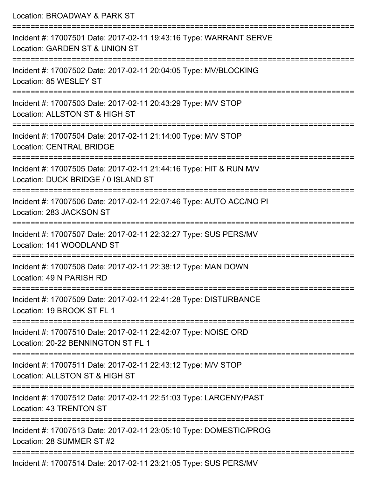| Location: BROADWAY & PARK ST                                                                                                         |
|--------------------------------------------------------------------------------------------------------------------------------------|
| Incident #: 17007501 Date: 2017-02-11 19:43:16 Type: WARRANT SERVE<br>Location: GARDEN ST & UNION ST<br>:========================    |
| Incident #: 17007502 Date: 2017-02-11 20:04:05 Type: MV/BLOCKING<br>Location: 85 WESLEY ST                                           |
| Incident #: 17007503 Date: 2017-02-11 20:43:29 Type: M/V STOP<br>Location: ALLSTON ST & HIGH ST                                      |
| :============================<br>Incident #: 17007504 Date: 2017-02-11 21:14:00 Type: M/V STOP<br><b>Location: CENTRAL BRIDGE</b>    |
| Incident #: 17007505 Date: 2017-02-11 21:44:16 Type: HIT & RUN M/V<br>Location: DUCK BRIDGE / 0 ISLAND ST                            |
| Incident #: 17007506 Date: 2017-02-11 22:07:46 Type: AUTO ACC/NO PI<br>Location: 283 JACKSON ST                                      |
| Incident #: 17007507 Date: 2017-02-11 22:32:27 Type: SUS PERS/MV<br>Location: 141 WOODLAND ST                                        |
| Incident #: 17007508 Date: 2017-02-11 22:38:12 Type: MAN DOWN<br>Location: 49 N PARISH RD                                            |
| ;=================================<br>Incident #: 17007509 Date: 2017-02-11 22:41:28 Type: DISTURBANCE<br>Location: 19 BROOK ST FL 1 |
| Incident #: 17007510 Date: 2017-02-11 22:42:07 Type: NOISE ORD<br>Location: 20-22 BENNINGTON ST FL 1                                 |
| Incident #: 17007511 Date: 2017-02-11 22:43:12 Type: M/V STOP<br>Location: ALLSTON ST & HIGH ST                                      |
| Incident #: 17007512 Date: 2017-02-11 22:51:03 Type: LARCENY/PAST<br>Location: 43 TRENTON ST                                         |
| Incident #: 17007513 Date: 2017-02-11 23:05:10 Type: DOMESTIC/PROG<br>Location: 28 SUMMER ST #2                                      |
| Incident #: 17007514 Date: 2017-02-11 23:21:05 Type: SUS PERS/MV                                                                     |